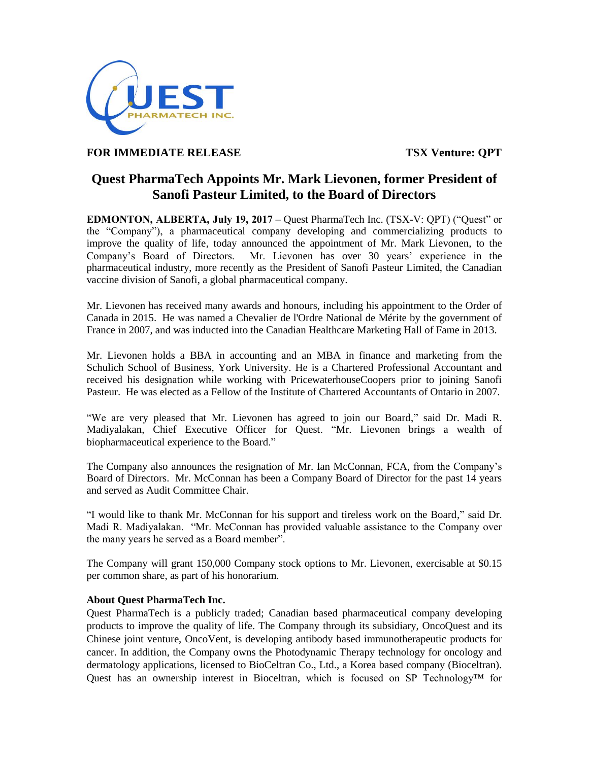

## **FOR IMMEDIATE RELEASE TSX Venture: QPT**

## **Quest PharmaTech Appoints Mr. Mark Lievonen, former President of Sanofi Pasteur Limited, to the Board of Directors**

EDMONTON, ALBERTA, July 19, 2017 – Quest PharmaTech Inc. (TSX-V: QPT) ("Quest" or the "Company"), a pharmaceutical company developing and commercializing products to improve the quality of life, today announced the appointment of Mr. Mark Lievonen, to the Company's Board of Directors. Mr. Lievonen has over 30 years' experience in the pharmaceutical industry, more recently as the President of Sanofi Pasteur Limited, the Canadian vaccine division of Sanofi, a global pharmaceutical company.

Mr. Lievonen has received many awards and honours, including his appointment to the Order of Canada in 2015. He was named a Chevalier de l'Ordre National de Mérite by the government of France in 2007, and was inducted into the Canadian Healthcare Marketing Hall of Fame in 2013.

Mr. Lievonen holds a BBA in accounting and an MBA in finance and marketing from the Schulich School of Business, York University. He is a Chartered Professional Accountant and received his designation while working with PricewaterhouseCoopers prior to joining Sanofi Pasteur. He was elected as a Fellow of the Institute of Chartered Accountants of Ontario in 2007.

"We are very pleased that Mr. Lievonen has agreed to join our Board," said Dr. Madi R. Madiyalakan, Chief Executive Officer for Quest. "Mr. Lievonen brings a wealth of biopharmaceutical experience to the Board."

The Company also announces the resignation of Mr. Ian McConnan, FCA, from the Company's Board of Directors. Mr. McConnan has been a Company Board of Director for the past 14 years and served as Audit Committee Chair.

"I would like to thank Mr. McConnan for his support and tireless work on the Board," said Dr. Madi R. Madiyalakan. "Mr. McConnan has provided valuable assistance to the Company over the many years he served as a Board member".

The Company will grant 150,000 Company stock options to Mr. Lievonen, exercisable at \$0.15 per common share, as part of his honorarium.

## **About Quest PharmaTech Inc.**

Quest PharmaTech is a publicly traded; Canadian based pharmaceutical company developing products to improve the quality of life. The Company through its subsidiary, OncoQuest and its Chinese joint venture, OncoVent, is developing antibody based immunotherapeutic products for cancer. In addition, the Company owns the Photodynamic Therapy technology for oncology and dermatology applications, licensed to BioCeltran Co., Ltd., a Korea based company (Bioceltran). Quest has an ownership interest in Bioceltran, which is focused on SP Technology<sup>TM</sup> for